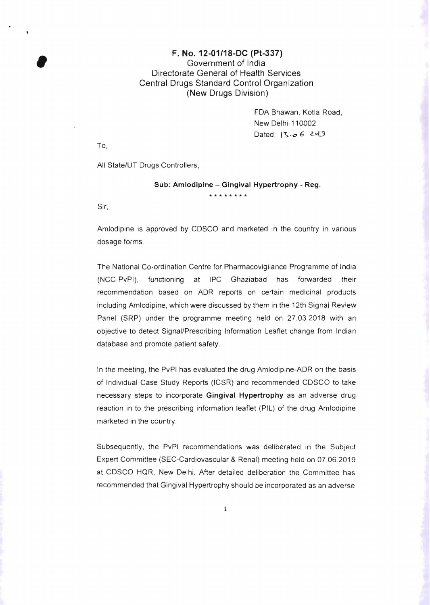## F. No. 12-01/18-DC (Pt-337) F. No. 12-01/18-DC (Pt-3<br>Government of India<br>Directorate General of Health<br>Central Drugs Standard Control C Directorate General of Health Services Central Drugs Standard Control Organization (New Drugs Division)

FDA Bhawan, Kotla Road, New Delhi-110002. Dated:  $3 - 6$   $.29$ 

To,

All State/UT Drugs Controllers,

## Sub: Amlodipine - Gingival Hypertrophy - Reg.

Sir,

Amlodipine is approved by CDSCO and marketed in the country in various dosage forms .

**\*\*\*\*\*\*\*\*** 

The National Co-ordination Centre for Pharmacovigilance Programme of India (NCC-PvPI), functioning at IPC Ghaziabad has forwarded their recommendation based on ADR reports on certain medicinal products including Amlodipine, which were discussed by them in the 12th Signal Review Panel (SRP) under the programme meeting held on 27.03.2018 with an objective to detect Signal/Prescribing Information Leaflet change from Indian database and promote patient safety.

In the meeting, the PvPI has evaluated the drug Amlodipine-ADR on the basis of Individual Case Study Reports (ICSR) and recommended CDSCO to take necessary steps to incorporate Gingival Hypertrophy as an adverse drug reaction in to the prescribing information leaflet (PIL) of the drug Amlodipine marketed in the country.

Subsequently, the PvPI recommendations was deliberated in the Subject Expert Committee (SEC-Cardiovascular & Renal) meeting held on 07.06.2019 at CDSCO HQR, New Delhi. After detailed deliberation the Committee has recommended that Gingival Hypertrophy should be incorporated as an adverse